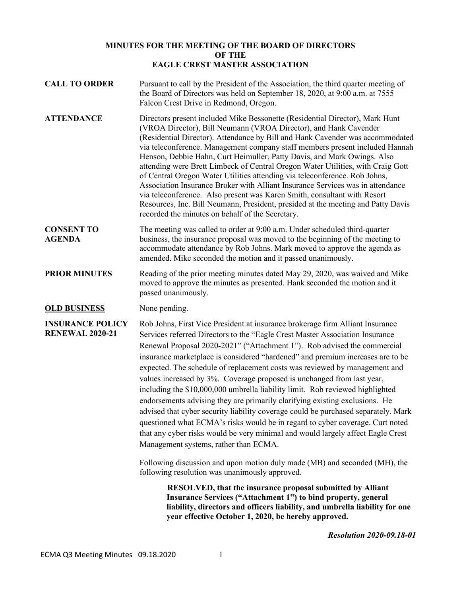# **MINUTES FOR THE MEETING OF THE BOARD OF DIRECTORS OF THE EAGLE CREST MASTER ASSOCIATION**

**CALL TO ORDER** Pursuant to call by the President of the Association, the third quarter meeting of the Board of Directors was held on September 18, 2020, at 9:00 a.m. at 7555 Falcon Crest Drive in Redmond, Oregon. **ATTENDANCE** Directors present included Mike Bessonette (Residential Director), Mark Hunt (VROA Director), Bill Neumann (VROA Director), and Hank Cavender (Residential Director). Attendance by Bill and Hank Cavender was accommodated via teleconference. Management company staff members present included Hannah Henson, Debbie Hahn, Curt Heimuller, Patty Davis, and Mark Owings. Also attending were Brett Limbeck of Central Oregon Water Utilities, with Craig Gott of Central Oregon Water Utilities attending via teleconference. Rob Johns, Association Insurance Broker with Alliant Insurance Services was in attendance via teleconference. Also present was Karen Smith, consultant with Resort Resources, Inc. Bill Neumann, President, presided at the meeting and Patty Davis recorded the minutes on behalf of the Secretary. **CONSENT TO AGENDA** The meeting was called to order at 9:00 a.m. Under scheduled third-quarter business, the insurance proposal was moved to the beginning of the meeting to accommodate attendance by Rob Johns. Mark moved to approve the agenda as amended. Mike seconded the motion and it passed unanimously. **PRIOR MINUTES** Reading of the prior meeting minutes dated May 29, 2020, was waived and Mike moved to approve the minutes as presented. Hank seconded the motion and it passed unanimously. **OLD BUSINESS** None pending. **INSURANCE POLICY RENEWAL 2020-21** Rob Johns, First Vice President at insurance brokerage firm Alliant Insurance Services referred Directors to the "Eagle Crest Master Association Insurance Renewal Proposal 2020-2021" ("Attachment 1"). Rob advised the commercial insurance marketplace is considered "hardened" and premium increases are to be expected. The schedule of replacement costs was reviewed by management and values increased by 3%. Coverage proposed is unchanged from last year, including the \$10,000,000 umbrella liability limit. Rob reviewed highlighted endorsements advising they are primarily clarifying existing exclusions. He advised that cyber security liability coverage could be purchased separately. Mark questioned what ECMA's risks would be in regard to cyber coverage. Curt noted that any cyber risks would be very minimal and would largely affect Eagle Crest Management systems, rather than ECMA. Following discussion and upon motion duly made (MB) and seconded (MH), the following resolution was unanimously approved. **RESOLVED, that the insurance proposal submitted by Alliant Insurance Services ("Attachment 1") to bind property, general liability, directors and officers liability, and umbrella liability for one year effective October 1, 2020, be hereby approved.** 

*Resolution 2020-09.18-01*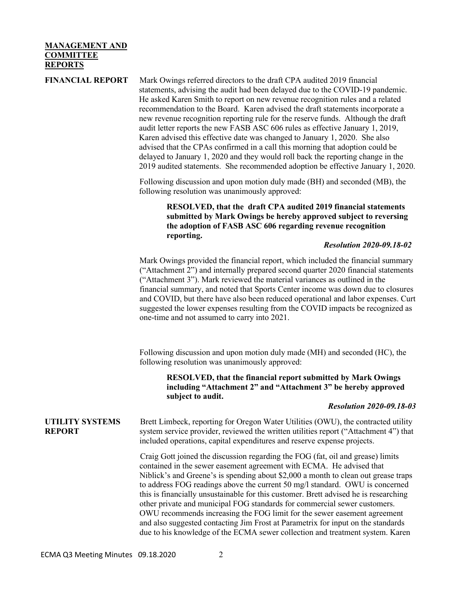# **MANAGEMENT AND COMMITTEE REPORTS**

**FINANCIAL REPORT** Mark Owings referred directors to the draft CPA audited 2019 financial statements, advising the audit had been delayed due to the COVID-19 pandemic. He asked Karen Smith to report on new revenue recognition rules and a related recommendation to the Board. Karen advised the draft statements incorporate a new revenue recognition reporting rule for the reserve funds. Although the draft audit letter reports the new FASB ASC 606 rules as effective January 1, 2019, Karen advised this effective date was changed to January 1, 2020. She also advised that the CPAs confirmed in a call this morning that adoption could be delayed to January 1, 2020 and they would roll back the reporting change in the 2019 audited statements. She recommended adoption be effective January 1, 2020.

> Following discussion and upon motion duly made (BH) and seconded (MB), the following resolution was unanimously approved:

# **RESOLVED, that the draft CPA audited 2019 financial statements submitted by Mark Owings be hereby approved subject to reversing the adoption of FASB ASC 606 regarding revenue recognition reporting.**

### *Resolution 2020-09.18-02*

Mark Owings provided the financial report, which included the financial summary ("Attachment 2") and internally prepared second quarter 2020 financial statements ("Attachment 3"). Mark reviewed the material variances as outlined in the financial summary, and noted that Sports Center income was down due to closures and COVID, but there have also been reduced operational and labor expenses. Curt suggested the lower expenses resulting from the COVID impacts be recognized as one-time and not assumed to carry into 2021.

Following discussion and upon motion duly made (MH) and seconded (HC), the following resolution was unanimously approved:

**RESOLVED, that the financial report submitted by Mark Owings including "Attachment 2" and "Attachment 3" be hereby approved subject to audit.**

### *Resolution 2020-09.18-03*

### **UTILITY SYSTEMS REPORT**

Brett Limbeck, reporting for Oregon Water Utilities (OWU), the contracted utility system service provider, reviewed the written utilities report ("Attachment 4") that included operations, capital expenditures and reserve expense projects.

Craig Gott joined the discussion regarding the FOG (fat, oil and grease) limits contained in the sewer easement agreement with ECMA. He advised that Niblick's and Greene's is spending about \$2,000 a month to clean out grease traps to address FOG readings above the current 50 mg/l standard. OWU is concerned this is financially unsustainable for this customer. Brett advised he is researching other private and municipal FOG standards for commercial sewer customers. OWU recommends increasing the FOG limit for the sewer easement agreement and also suggested contacting Jim Frost at Parametrix for input on the standards due to his knowledge of the ECMA sewer collection and treatment system. Karen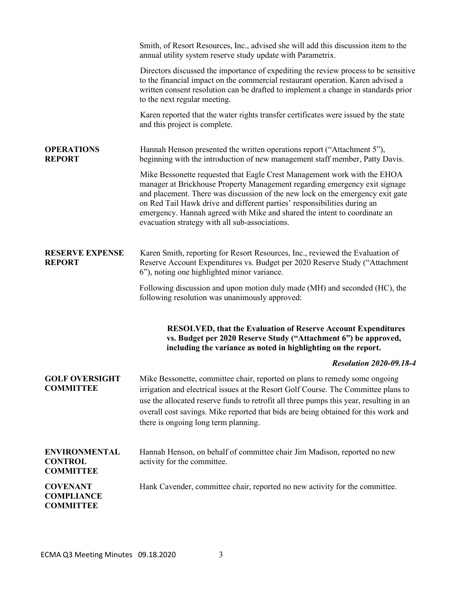|                                                            | Smith, of Resort Resources, Inc., advised she will add this discussion item to the<br>annual utility system reserve study update with Parametrix.                                                                                                                                                                                                                                                                                                   |
|------------------------------------------------------------|-----------------------------------------------------------------------------------------------------------------------------------------------------------------------------------------------------------------------------------------------------------------------------------------------------------------------------------------------------------------------------------------------------------------------------------------------------|
|                                                            | Directors discussed the importance of expediting the review process to be sensitive<br>to the financial impact on the commercial restaurant operation. Karen advised a<br>written consent resolution can be drafted to implement a change in standards prior<br>to the next regular meeting.                                                                                                                                                        |
|                                                            | Karen reported that the water rights transfer certificates were issued by the state<br>and this project is complete.                                                                                                                                                                                                                                                                                                                                |
| <b>OPERATIONS</b><br><b>REPORT</b>                         | Hannah Henson presented the written operations report ("Attachment 5"),<br>beginning with the introduction of new management staff member, Patty Davis.                                                                                                                                                                                                                                                                                             |
|                                                            | Mike Bessonette requested that Eagle Crest Management work with the EHOA<br>manager at Brickhouse Property Management regarding emergency exit signage<br>and placement. There was discussion of the new lock on the emergency exit gate<br>on Red Tail Hawk drive and different parties' responsibilities during an<br>emergency. Hannah agreed with Mike and shared the intent to coordinate an<br>evacuation strategy with all sub-associations. |
| <b>RESERVE EXPENSE</b><br><b>REPORT</b>                    | Karen Smith, reporting for Resort Resources, Inc., reviewed the Evaluation of<br>Reserve Account Expenditures vs. Budget per 2020 Reserve Study ("Attachment<br>6"), noting one highlighted minor variance.                                                                                                                                                                                                                                         |
|                                                            | Following discussion and upon motion duly made (MH) and seconded (HC), the<br>following resolution was unanimously approved:                                                                                                                                                                                                                                                                                                                        |
|                                                            | <b>RESOLVED, that the Evaluation of Reserve Account Expenditures</b><br>vs. Budget per 2020 Reserve Study ("Attachment 6") be approved,<br>including the variance as noted in highlighting on the report.                                                                                                                                                                                                                                           |
|                                                            | <b>Resolution 2020-09.18-4</b>                                                                                                                                                                                                                                                                                                                                                                                                                      |
| <b>GOLF OVERSIGHT</b><br><b>COMMITTEE</b>                  | Mike Bessonette, committee chair, reported on plans to remedy some ongoing<br>irrigation and electrical issues at the Resort Golf Course. The Committee plans to<br>use the allocated reserve funds to retrofit all three pumps this year, resulting in an<br>overall cost savings. Mike reported that bids are being obtained for this work and<br>there is ongoing long term planning.                                                            |
| <b>ENVIRONMENTAL</b><br><b>CONTROL</b><br><b>COMMITTEE</b> | Hannah Henson, on behalf of committee chair Jim Madison, reported no new<br>activity for the committee.                                                                                                                                                                                                                                                                                                                                             |
| <b>COVENANT</b><br><b>COMPLIANCE</b><br><b>COMMITTEE</b>   | Hank Cavender, committee chair, reported no new activity for the committee.                                                                                                                                                                                                                                                                                                                                                                         |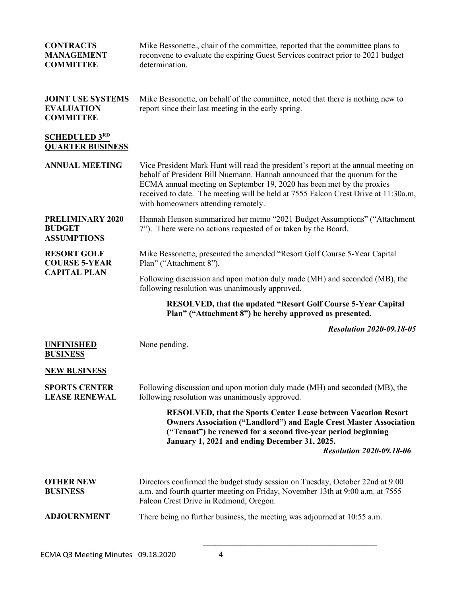| <b>CONTRACTS</b><br><b>MANAGEMENT</b><br><b>COMMITTEE</b>         | Mike Bessonette., chair of the committee, reported that the committee plans to<br>reconvene to evaluate the expiring Guest Services contract prior to 2021 budget<br>determination.                                                                                                                                                                                    |
|-------------------------------------------------------------------|------------------------------------------------------------------------------------------------------------------------------------------------------------------------------------------------------------------------------------------------------------------------------------------------------------------------------------------------------------------------|
| <b>JOINT USE SYSTEMS</b><br><b>EVALUATION</b><br><b>COMMITTEE</b> | Mike Bessonette, on behalf of the committee, noted that there is nothing new to<br>report since their last meeting in the early spring.                                                                                                                                                                                                                                |
| <b>SCHEDULED 3RD</b><br><b>QUARTER BUSINESS</b>                   |                                                                                                                                                                                                                                                                                                                                                                        |
| <b>ANNUAL MEETING</b>                                             | Vice President Mark Hunt will read the president's report at the annual meeting on<br>behalf of President Bill Nuemann. Hannah announced that the quorum for the<br>ECMA annual meeting on September 19, 2020 has been met by the proxies<br>received to date. The meeting will be held at 7555 Falcon Crest Drive at 11:30a.m,<br>with homeowners attending remotely. |
| PRELIMINARY 2020<br><b>BUDGET</b><br><b>ASSUMPTIONS</b>           | Hannah Henson summarized her memo "2021 Budget Assumptions" ("Attachment<br>7"). There were no actions requested of or taken by the Board.                                                                                                                                                                                                                             |
| <b>RESORT GOLF</b><br><b>COURSE 5-YEAR</b><br><b>CAPITAL PLAN</b> | Mike Bessonette, presented the amended "Resort Golf Course 5-Year Capital<br>Plan" ("Attachment 8").                                                                                                                                                                                                                                                                   |
|                                                                   | Following discussion and upon motion duly made (MH) and seconded (MB), the<br>following resolution was unanimously approved.                                                                                                                                                                                                                                           |
|                                                                   | <b>RESOLVED, that the updated "Resort Golf Course 5-Year Capital</b><br>Plan" ("Attachment 8") be hereby approved as presented.                                                                                                                                                                                                                                        |
|                                                                   | <b>Resolution 2020-09.18-05</b>                                                                                                                                                                                                                                                                                                                                        |
| <b>UNFINISHED</b><br><b>BUSINESS</b>                              | None pending.                                                                                                                                                                                                                                                                                                                                                          |
| <b>NEW BUSINESS</b>                                               |                                                                                                                                                                                                                                                                                                                                                                        |
| <b>SPORTS CENTER</b><br><b>LEASE RENEWAL</b>                      | Following discussion and upon motion duly made (MH) and seconded (MB), the<br>following resolution was unanimously approved.                                                                                                                                                                                                                                           |
|                                                                   | <b>RESOLVED, that the Sports Center Lease between Vacation Resort</b><br><b>Owners Association ("Landlord") and Eagle Crest Master Association</b><br>("Tenant") be renewed for a second five-year period beginning<br>January 1, 2021 and ending December 31, 2025.<br><b>Resolution 2020-09.18-06</b>                                                                |
|                                                                   |                                                                                                                                                                                                                                                                                                                                                                        |
| <b>OTHER NEW</b><br><b>BUSINESS</b>                               | Directors confirmed the budget study session on Tuesday, October 22nd at 9:00<br>a.m. and fourth quarter meeting on Friday, November 13th at 9:00 a.m. at 7555<br>Falcon Crest Drive in Redmond, Oregon.                                                                                                                                                               |
| <b>ADJOURNMENT</b>                                                | There being no further business, the meeting was adjourned at 10:55 a.m.                                                                                                                                                                                                                                                                                               |

 $\mathcal{L}_\text{max}$  and  $\mathcal{L}_\text{max}$  and  $\mathcal{L}_\text{max}$  and  $\mathcal{L}_\text{max}$